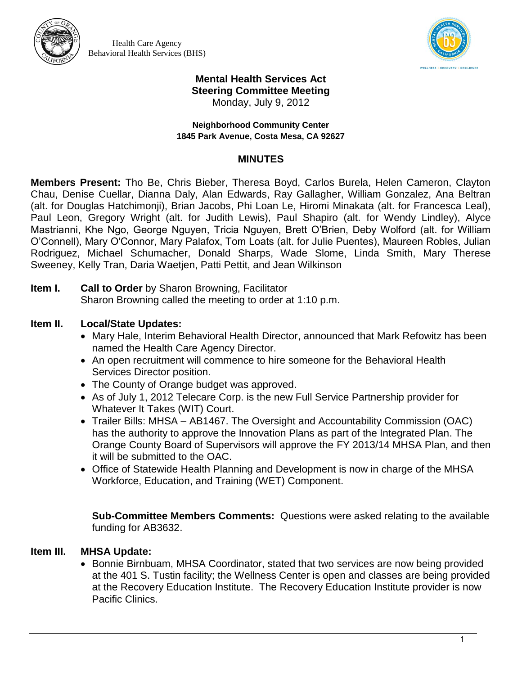

Health Care Agency Behavioral Health Services (BHS)



# **Mental Health Services Act Steering Committee Meeting**

Monday, July 9, 2012

#### **Neighborhood Community Center 1845 Park Avenue, Costa Mesa, CA 92627**

### **MINUTES**

**Members Present:** Tho Be, Chris Bieber, Theresa Boyd, Carlos Burela, Helen Cameron, Clayton Chau, Denise Cuellar, Dianna Daly, Alan Edwards, Ray Gallagher, William Gonzalez, Ana Beltran (alt. for Douglas Hatchimonji), Brian Jacobs, Phi Loan Le, Hiromi Minakata (alt. for Francesca Leal), Paul Leon, Gregory Wright (alt. for Judith Lewis), Paul Shapiro (alt. for Wendy Lindley), Alyce Mastrianni, Khe Ngo, George Nguyen, Tricia Nguyen, Brett O'Brien, Deby Wolford (alt. for William O'Connell), Mary O'Connor, Mary Palafox, Tom Loats (alt. for Julie Puentes), Maureen Robles, Julian Rodriguez, Michael Schumacher, Donald Sharps, Wade Slome, Linda Smith, Mary Therese Sweeney, Kelly Tran, Daria Waetjen, Patti Pettit, and Jean Wilkinson

**Item I. Call to Order** by Sharon Browning, Facilitator Sharon Browning called the meeting to order at 1:10 p.m.

# **Item II. Local/State Updates:**

- Mary Hale, Interim Behavioral Health Director, announced that Mark Refowitz has been named the Health Care Agency Director.
- An open recruitment will commence to hire someone for the Behavioral Health Services Director position.
- The County of Orange budget was approved.
- As of July 1, 2012 Telecare Corp. is the new Full Service Partnership provider for Whatever It Takes (WIT) Court.
- Trailer Bills: MHSA AB1467. The Oversight and Accountability Commission (OAC) has the authority to approve the Innovation Plans as part of the Integrated Plan. The Orange County Board of Supervisors will approve the FY 2013/14 MHSA Plan, and then it will be submitted to the OAC.
- Office of Statewide Health Planning and Development is now in charge of the MHSA Workforce, Education, and Training (WET) Component.

**Sub-Committee Members Comments:** Questions were asked relating to the available funding for AB3632.

# **Item III. MHSA Update:**

• Bonnie Birnbuam, MHSA Coordinator, stated that two services are now being provided at the 401 S. Tustin facility; the Wellness Center is open and classes are being provided at the Recovery Education Institute. The Recovery Education Institute provider is now Pacific Clinics.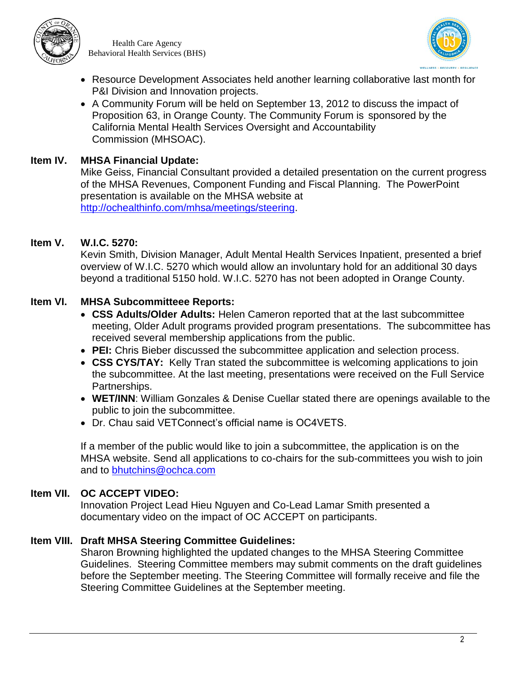

Health Care Agency Behavioral Health Services (BHS)



- Resource Development Associates held another learning collaborative last month for P&I Division and Innovation projects.
- A Community Forum will be held on September 13, 2012 to discuss the impact of Proposition 63, in Orange County. The Community Forum is sponsored by the California Mental Health Services Oversight and Accountability Commission (MHSOAC).

### **Item IV. MHSA Financial Update:**

Mike Geiss, Financial Consultant provided a detailed presentation on the current progress of the MHSA Revenues, Component Funding and Fiscal Planning. The PowerPoint presentation is available on the MHSA website at [http://ochealthinfo.com/mhsa/meetings/steering.](http://ochealthinfo.com/mhsa/meetings/steering)

#### **Item V. W.I.C. 5270:**

Kevin Smith, Division Manager, Adult Mental Health Services Inpatient, presented a brief overview of W.I.C. 5270 which would allow an involuntary hold for an additional 30 days beyond a traditional 5150 hold. W.I.C. 5270 has not been adopted in Orange County.

# **Item VI. MHSA Subcommitteee Reports:**

- **CSS Adults/Older Adults:** Helen Cameron reported that at the last subcommittee meeting, Older Adult programs provided program presentations. The subcommittee has received several membership applications from the public.
- **PEI:** Chris Bieber discussed the subcommittee application and selection process.
- **CSS CYS/TAY:** Kelly Tran stated the subcommittee is welcoming applications to join the subcommittee. At the last meeting, presentations were received on the Full Service Partnerships.
- **WET/INN**: William Gonzales & Denise Cuellar stated there are openings available to the public to join the subcommittee.
- Dr. Chau said VETConnect's official name is OC4VETS.

If a member of the public would like to join a subcommittee, the application is on the MHSA website. Send all applications to co-chairs for the sub-committees you wish to join and to [bhutchins@ochca.com](mailto:bhutchins@ochca.com)

#### **Item VII. OC ACCEPT VIDEO:**

Innovation Project Lead Hieu Nguyen and Co-Lead Lamar Smith presented a documentary video on the impact of OC ACCEPT on participants.

#### **Item VIII. Draft MHSA Steering Committee Guidelines:**

Sharon Browning highlighted the updated changes to the MHSA Steering Committee Guidelines. Steering Committee members may submit comments on the draft guidelines before the September meeting. The Steering Committee will formally receive and file the Steering Committee Guidelines at the September meeting.